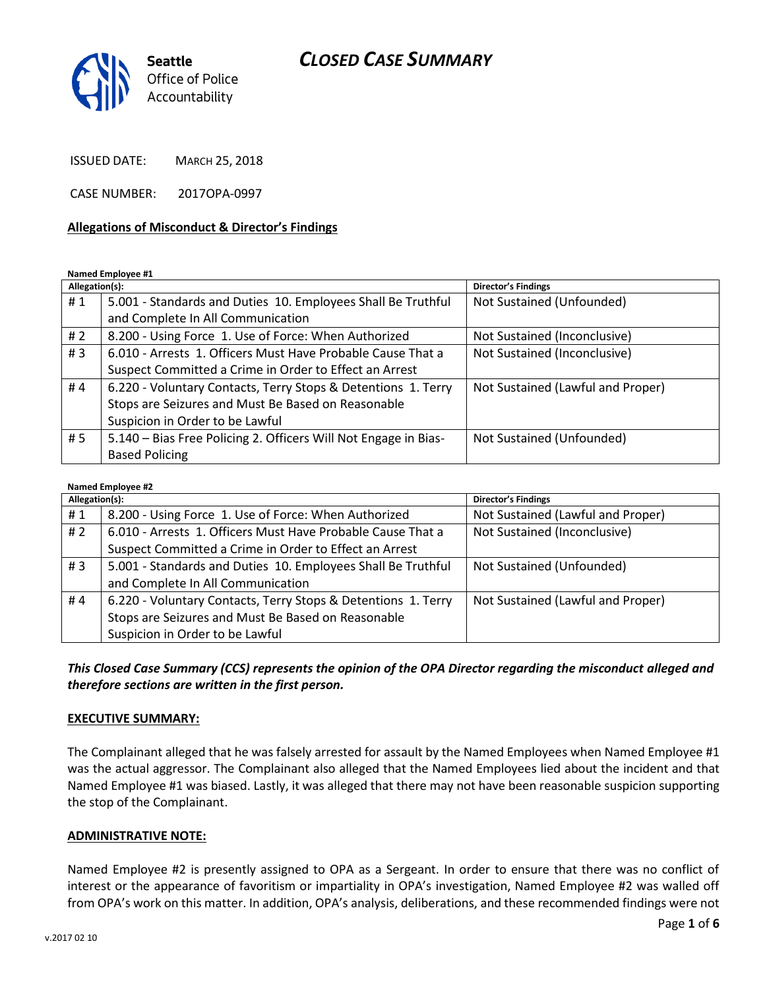

ISSUED DATE: MARCH 25, 2018

CASE NUMBER: 2017OPA-0997

#### **Allegations of Misconduct & Director's Findings**

#### **Named Employee #1**

| Allegation(s): |                                                                 | <b>Director's Findings</b>        |
|----------------|-----------------------------------------------------------------|-----------------------------------|
| #1             | 5.001 - Standards and Duties 10. Employees Shall Be Truthful    | Not Sustained (Unfounded)         |
|                | and Complete In All Communication                               |                                   |
| #2             | 8.200 - Using Force 1. Use of Force: When Authorized            | Not Sustained (Inconclusive)      |
| #3             | 6.010 - Arrests 1. Officers Must Have Probable Cause That a     | Not Sustained (Inconclusive)      |
|                | Suspect Committed a Crime in Order to Effect an Arrest          |                                   |
| #4             | 6.220 - Voluntary Contacts, Terry Stops & Detentions 1. Terry   | Not Sustained (Lawful and Proper) |
|                | Stops are Seizures and Must Be Based on Reasonable              |                                   |
|                | Suspicion in Order to be Lawful                                 |                                   |
| # 5            | 5.140 - Bias Free Policing 2. Officers Will Not Engage in Bias- | Not Sustained (Unfounded)         |
|                | <b>Based Policing</b>                                           |                                   |

#### **Named Employee #2**

| Allegation(s): |                                                               | <b>Director's Findings</b>        |
|----------------|---------------------------------------------------------------|-----------------------------------|
| #1             | 8.200 - Using Force 1. Use of Force: When Authorized          | Not Sustained (Lawful and Proper) |
| # $2$          | 6.010 - Arrests 1. Officers Must Have Probable Cause That a   | Not Sustained (Inconclusive)      |
|                | Suspect Committed a Crime in Order to Effect an Arrest        |                                   |
| #3             | 5.001 - Standards and Duties 10. Employees Shall Be Truthful  | Not Sustained (Unfounded)         |
|                | and Complete In All Communication                             |                                   |
| #4             | 6.220 - Voluntary Contacts, Terry Stops & Detentions 1. Terry | Not Sustained (Lawful and Proper) |
|                | Stops are Seizures and Must Be Based on Reasonable            |                                   |
|                | Suspicion in Order to be Lawful                               |                                   |

*This Closed Case Summary (CCS) represents the opinion of the OPA Director regarding the misconduct alleged and therefore sections are written in the first person.* 

#### **EXECUTIVE SUMMARY:**

The Complainant alleged that he was falsely arrested for assault by the Named Employees when Named Employee #1 was the actual aggressor. The Complainant also alleged that the Named Employees lied about the incident and that Named Employee #1 was biased. Lastly, it was alleged that there may not have been reasonable suspicion supporting the stop of the Complainant.

#### **ADMINISTRATIVE NOTE:**

Named Employee #2 is presently assigned to OPA as a Sergeant. In order to ensure that there was no conflict of interest or the appearance of favoritism or impartiality in OPA's investigation, Named Employee #2 was walled off from OPA's work on this matter. In addition, OPA's analysis, deliberations, and these recommended findings were not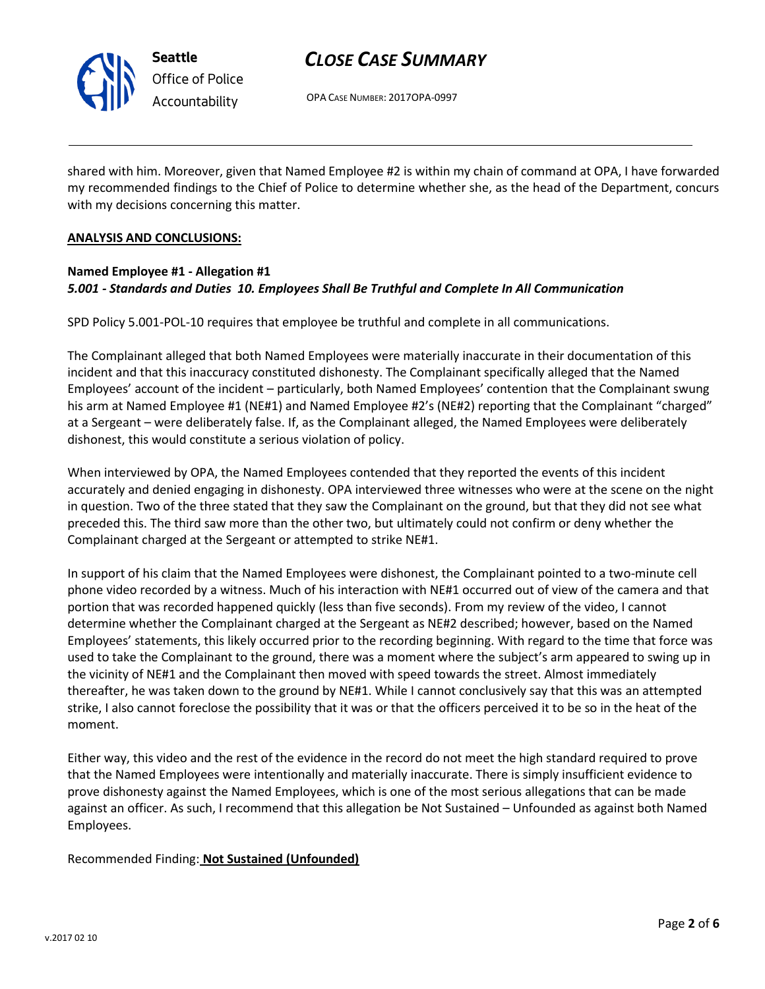

OPA CASE NUMBER: 2017OPA-0997

shared with him. Moreover, given that Named Employee #2 is within my chain of command at OPA, I have forwarded my recommended findings to the Chief of Police to determine whether she, as the head of the Department, concurs with my decisions concerning this matter.

#### **ANALYSIS AND CONCLUSIONS:**

#### **Named Employee #1 - Allegation #1** *5.001 - Standards and Duties 10. Employees Shall Be Truthful and Complete In All Communication*

SPD Policy 5.001-POL-10 requires that employee be truthful and complete in all communications.

The Complainant alleged that both Named Employees were materially inaccurate in their documentation of this incident and that this inaccuracy constituted dishonesty. The Complainant specifically alleged that the Named Employees' account of the incident – particularly, both Named Employees' contention that the Complainant swung his arm at Named Employee #1 (NE#1) and Named Employee #2's (NE#2) reporting that the Complainant "charged" at a Sergeant – were deliberately false. If, as the Complainant alleged, the Named Employees were deliberately dishonest, this would constitute a serious violation of policy.

When interviewed by OPA, the Named Employees contended that they reported the events of this incident accurately and denied engaging in dishonesty. OPA interviewed three witnesses who were at the scene on the night in question. Two of the three stated that they saw the Complainant on the ground, but that they did not see what preceded this. The third saw more than the other two, but ultimately could not confirm or deny whether the Complainant charged at the Sergeant or attempted to strike NE#1.

In support of his claim that the Named Employees were dishonest, the Complainant pointed to a two-minute cell phone video recorded by a witness. Much of his interaction with NE#1 occurred out of view of the camera and that portion that was recorded happened quickly (less than five seconds). From my review of the video, I cannot determine whether the Complainant charged at the Sergeant as NE#2 described; however, based on the Named Employees' statements, this likely occurred prior to the recording beginning. With regard to the time that force was used to take the Complainant to the ground, there was a moment where the subject's arm appeared to swing up in the vicinity of NE#1 and the Complainant then moved with speed towards the street. Almost immediately thereafter, he was taken down to the ground by NE#1. While I cannot conclusively say that this was an attempted strike, I also cannot foreclose the possibility that it was or that the officers perceived it to be so in the heat of the moment.

Either way, this video and the rest of the evidence in the record do not meet the high standard required to prove that the Named Employees were intentionally and materially inaccurate. There is simply insufficient evidence to prove dishonesty against the Named Employees, which is one of the most serious allegations that can be made against an officer. As such, I recommend that this allegation be Not Sustained – Unfounded as against both Named Employees.

Recommended Finding: **Not Sustained (Unfounded)**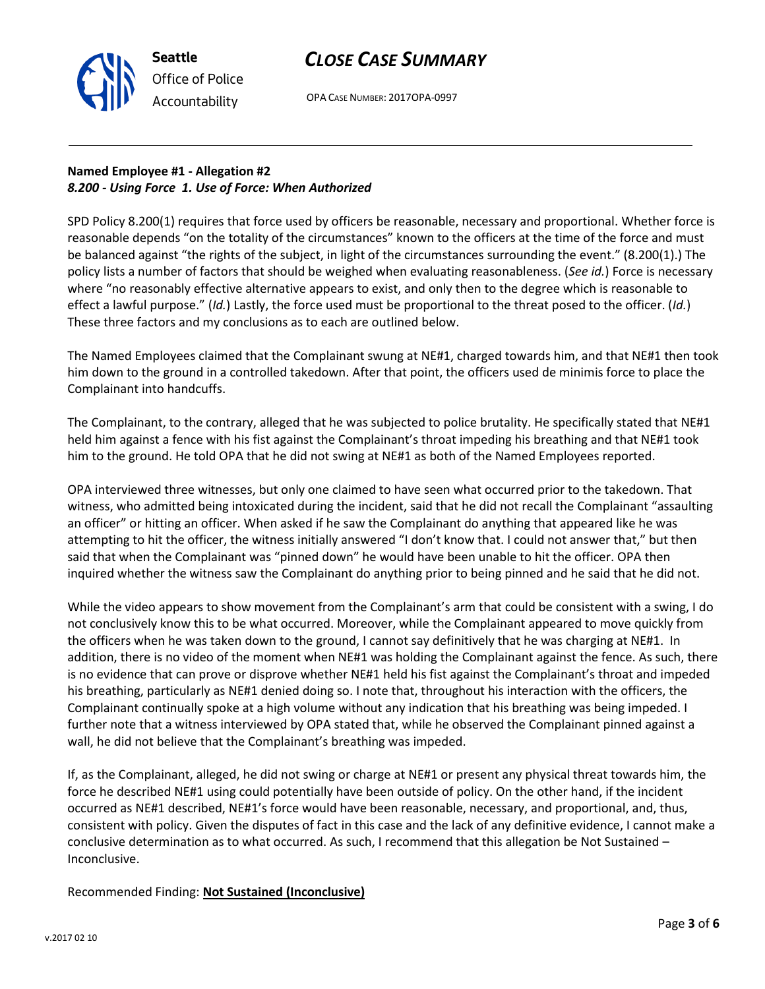

OPA CASE NUMBER: 2017OPA-0997

## **Named Employee #1 - Allegation #2** *8.200 - Using Force 1. Use of Force: When Authorized*

SPD Policy 8.200(1) requires that force used by officers be reasonable, necessary and proportional. Whether force is reasonable depends "on the totality of the circumstances" known to the officers at the time of the force and must be balanced against "the rights of the subject, in light of the circumstances surrounding the event." (8.200(1).) The policy lists a number of factors that should be weighed when evaluating reasonableness. (*See id.*) Force is necessary where "no reasonably effective alternative appears to exist, and only then to the degree which is reasonable to effect a lawful purpose." (*Id.*) Lastly, the force used must be proportional to the threat posed to the officer. (*Id.*) These three factors and my conclusions as to each are outlined below.

The Named Employees claimed that the Complainant swung at NE#1, charged towards him, and that NE#1 then took him down to the ground in a controlled takedown. After that point, the officers used de minimis force to place the Complainant into handcuffs.

The Complainant, to the contrary, alleged that he was subjected to police brutality. He specifically stated that NE#1 held him against a fence with his fist against the Complainant's throat impeding his breathing and that NE#1 took him to the ground. He told OPA that he did not swing at NE#1 as both of the Named Employees reported.

OPA interviewed three witnesses, but only one claimed to have seen what occurred prior to the takedown. That witness, who admitted being intoxicated during the incident, said that he did not recall the Complainant "assaulting an officer" or hitting an officer. When asked if he saw the Complainant do anything that appeared like he was attempting to hit the officer, the witness initially answered "I don't know that. I could not answer that," but then said that when the Complainant was "pinned down" he would have been unable to hit the officer. OPA then inquired whether the witness saw the Complainant do anything prior to being pinned and he said that he did not.

While the video appears to show movement from the Complainant's arm that could be consistent with a swing, I do not conclusively know this to be what occurred. Moreover, while the Complainant appeared to move quickly from the officers when he was taken down to the ground, I cannot say definitively that he was charging at NE#1. In addition, there is no video of the moment when NE#1 was holding the Complainant against the fence. As such, there is no evidence that can prove or disprove whether NE#1 held his fist against the Complainant's throat and impeded his breathing, particularly as NE#1 denied doing so. I note that, throughout his interaction with the officers, the Complainant continually spoke at a high volume without any indication that his breathing was being impeded. I further note that a witness interviewed by OPA stated that, while he observed the Complainant pinned against a wall, he did not believe that the Complainant's breathing was impeded.

If, as the Complainant, alleged, he did not swing or charge at NE#1 or present any physical threat towards him, the force he described NE#1 using could potentially have been outside of policy. On the other hand, if the incident occurred as NE#1 described, NE#1's force would have been reasonable, necessary, and proportional, and, thus, consistent with policy. Given the disputes of fact in this case and the lack of any definitive evidence, I cannot make a conclusive determination as to what occurred. As such, I recommend that this allegation be Not Sustained – Inconclusive.

Recommended Finding: **Not Sustained (Inconclusive)**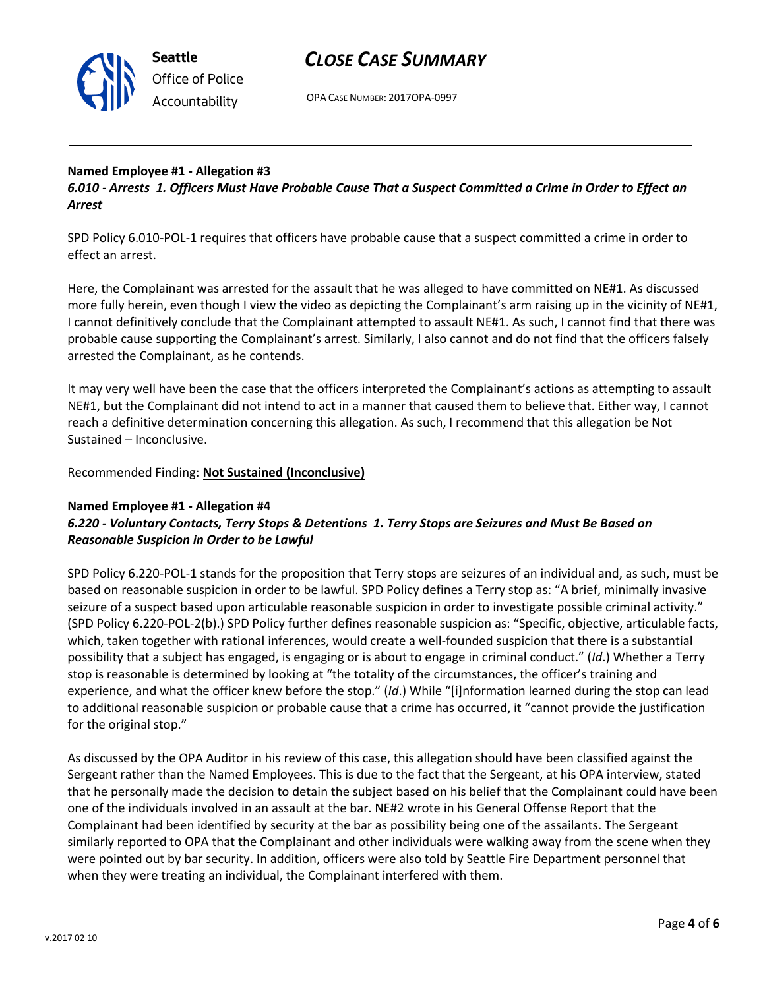

OPA CASE NUMBER: 2017OPA-0997

#### **Named Employee #1 - Allegation #3** *6.010 - Arrests 1. Officers Must Have Probable Cause That a Suspect Committed a Crime in Order to Effect an*

*Arrest*

SPD Policy 6.010-POL-1 requires that officers have probable cause that a suspect committed a crime in order to effect an arrest.

Here, the Complainant was arrested for the assault that he was alleged to have committed on NE#1. As discussed more fully herein, even though I view the video as depicting the Complainant's arm raising up in the vicinity of NE#1, I cannot definitively conclude that the Complainant attempted to assault NE#1. As such, I cannot find that there was probable cause supporting the Complainant's arrest. Similarly, I also cannot and do not find that the officers falsely arrested the Complainant, as he contends.

It may very well have been the case that the officers interpreted the Complainant's actions as attempting to assault NE#1, but the Complainant did not intend to act in a manner that caused them to believe that. Either way, I cannot reach a definitive determination concerning this allegation. As such, I recommend that this allegation be Not Sustained – Inconclusive.

Recommended Finding: **Not Sustained (Inconclusive)**

## **Named Employee #1 - Allegation #4**

## *6.220 - Voluntary Contacts, Terry Stops & Detentions 1. Terry Stops are Seizures and Must Be Based on Reasonable Suspicion in Order to be Lawful*

SPD Policy 6.220-POL-1 stands for the proposition that Terry stops are seizures of an individual and, as such, must be based on reasonable suspicion in order to be lawful. SPD Policy defines a Terry stop as: "A brief, minimally invasive seizure of a suspect based upon articulable reasonable suspicion in order to investigate possible criminal activity." (SPD Policy 6.220-POL-2(b).) SPD Policy further defines reasonable suspicion as: "Specific, objective, articulable facts, which, taken together with rational inferences, would create a well-founded suspicion that there is a substantial possibility that a subject has engaged, is engaging or is about to engage in criminal conduct." (*Id*.) Whether a Terry stop is reasonable is determined by looking at "the totality of the circumstances, the officer's training and experience, and what the officer knew before the stop." (*Id*.) While "[i]nformation learned during the stop can lead to additional reasonable suspicion or probable cause that a crime has occurred, it "cannot provide the justification for the original stop."

As discussed by the OPA Auditor in his review of this case, this allegation should have been classified against the Sergeant rather than the Named Employees. This is due to the fact that the Sergeant, at his OPA interview, stated that he personally made the decision to detain the subject based on his belief that the Complainant could have been one of the individuals involved in an assault at the bar. NE#2 wrote in his General Offense Report that the Complainant had been identified by security at the bar as possibility being one of the assailants. The Sergeant similarly reported to OPA that the Complainant and other individuals were walking away from the scene when they were pointed out by bar security. In addition, officers were also told by Seattle Fire Department personnel that when they were treating an individual, the Complainant interfered with them.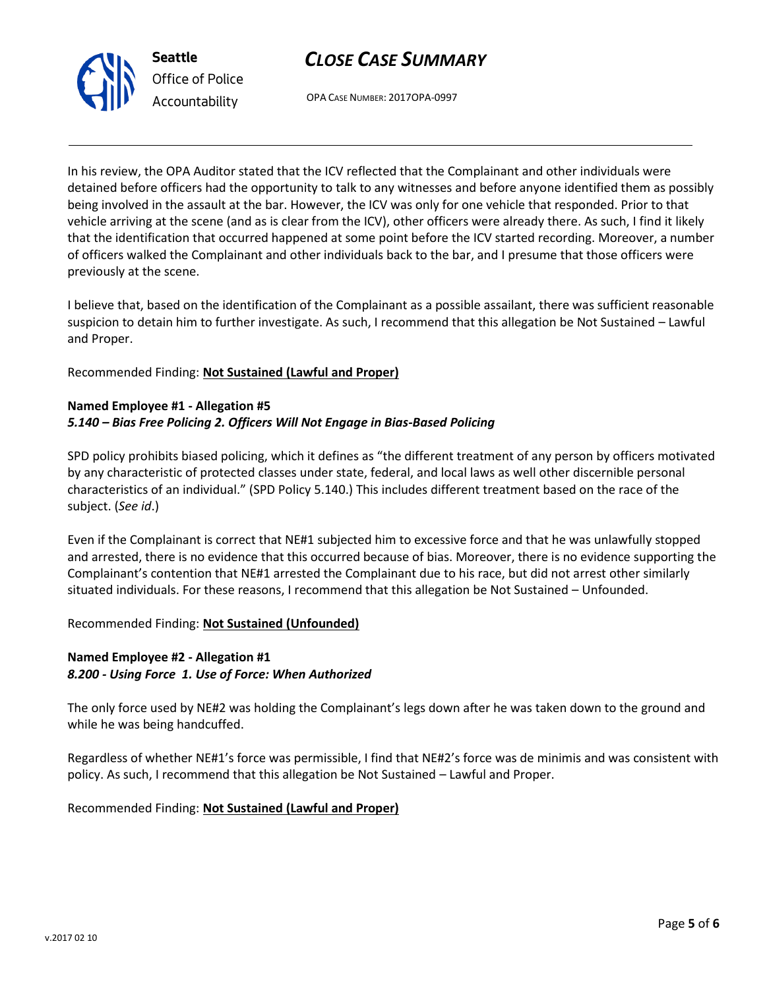

OPA CASE NUMBER: 2017OPA-0997

In his review, the OPA Auditor stated that the ICV reflected that the Complainant and other individuals were detained before officers had the opportunity to talk to any witnesses and before anyone identified them as possibly being involved in the assault at the bar. However, the ICV was only for one vehicle that responded. Prior to that vehicle arriving at the scene (and as is clear from the ICV), other officers were already there. As such, I find it likely that the identification that occurred happened at some point before the ICV started recording. Moreover, a number of officers walked the Complainant and other individuals back to the bar, and I presume that those officers were previously at the scene.

I believe that, based on the identification of the Complainant as a possible assailant, there was sufficient reasonable suspicion to detain him to further investigate. As such, I recommend that this allegation be Not Sustained – Lawful and Proper.

## Recommended Finding: **Not Sustained (Lawful and Proper)**

#### **Named Employee #1 - Allegation #5** *5.140 – Bias Free Policing 2. Officers Will Not Engage in Bias-Based Policing*

SPD policy prohibits biased policing, which it defines as "the different treatment of any person by officers motivated by any characteristic of protected classes under state, federal, and local laws as well other discernible personal characteristics of an individual." (SPD Policy 5.140.) This includes different treatment based on the race of the subject. (*See id*.)

Even if the Complainant is correct that NE#1 subjected him to excessive force and that he was unlawfully stopped and arrested, there is no evidence that this occurred because of bias. Moreover, there is no evidence supporting the Complainant's contention that NE#1 arrested the Complainant due to his race, but did not arrest other similarly situated individuals. For these reasons, I recommend that this allegation be Not Sustained – Unfounded.

## Recommended Finding: **Not Sustained (Unfounded)**

## **Named Employee #2 - Allegation #1** *8.200 - Using Force 1. Use of Force: When Authorized*

The only force used by NE#2 was holding the Complainant's legs down after he was taken down to the ground and while he was being handcuffed.

Regardless of whether NE#1's force was permissible, I find that NE#2's force was de minimis and was consistent with policy. As such, I recommend that this allegation be Not Sustained – Lawful and Proper.

## Recommended Finding: **Not Sustained (Lawful and Proper)**